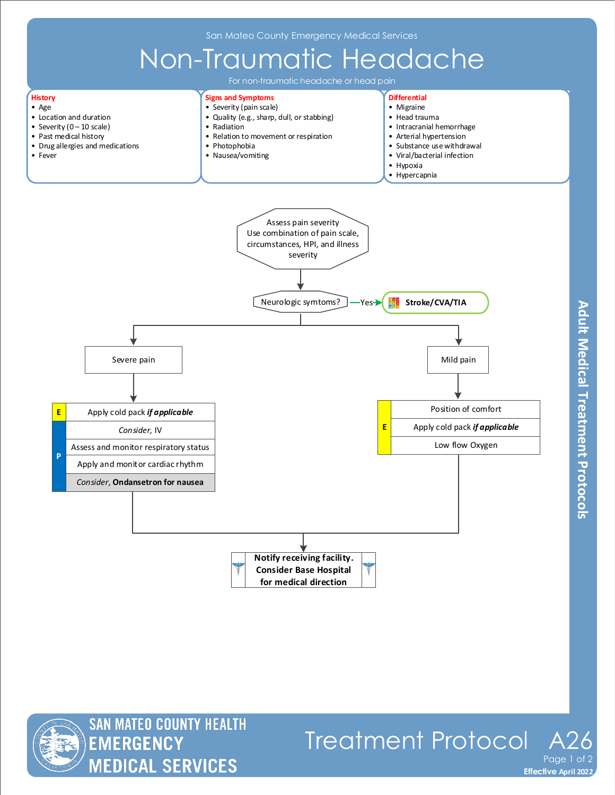



## Treatment Protocol A Page